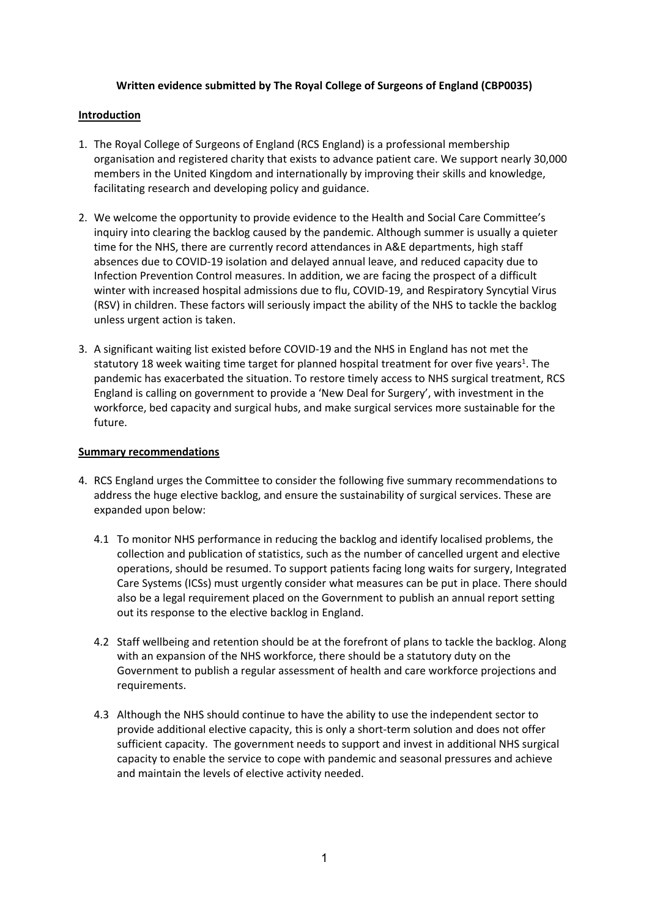## **Written evidence submitted by The Royal College of Surgeons of England (CBP0035)**

### **Introduction**

- 1. The Royal College of Surgeons of England (RCS England) is a professional membership organisation and registered charity that exists to advance patient care. We support nearly 30,000 members in the United Kingdom and internationally by improving their skills and knowledge, facilitating research and developing policy and guidance.
- 2. We welcome the opportunity to provide evidence to the Health and Social Care Committee's inquiry into clearing the backlog caused by the pandemic. Although summer is usually a quieter time for the NHS, there are currently record attendances in A&E departments, high staff absences due to COVID-19 isolation and delayed annual leave, and reduced capacity due to Infection Prevention Control measures. In addition, we are facing the prospect of a difficult winter with increased hospital admissions due to flu, COVID-19, and Respiratory Syncytial Virus (RSV) in children. These factors will seriously impact the ability of the NHS to tackle the backlog unless urgent action is taken.
- 3. A significant waiting list existed before COVID-19 and the NHS in England has not met the statutory 18 week waiting time target for planned hospital treatment for over five years<sup>1</sup>. The pandemic has exacerbated the situation. To restore timely access to NHS surgical treatment, RCS England is calling on government to provide a 'New Deal for Surgery', with investment in the workforce, bed capacity and surgical hubs, and make surgical services more sustainable for the future.

## **Summary recommendations**

- 4. RCS England urges the Committee to consider the following five summary recommendations to address the huge elective backlog, and ensure the sustainability of surgical services. These are expanded upon below:
	- 4.1 To monitor NHS performance in reducing the backlog and identify localised problems, the collection and publication of statistics, such as the number of cancelled urgent and elective operations, should be resumed. To support patients facing long waits for surgery, Integrated Care Systems (ICSs) must urgently consider what measures can be put in place. There should also be a legal requirement placed on the Government to publish an annual report setting out its response to the elective backlog in England.
	- 4.2 Staff wellbeing and retention should be at the forefront of plans to tackle the backlog. Along with an expansion of the NHS workforce, there should be a statutory duty on the Government to publish a regular assessment of health and care workforce projections and requirements.
	- 4.3 Although the NHS should continue to have the ability to use the independent sector to provide additional elective capacity, this is only a short-term solution and does not offer sufficient capacity. The government needs to support and invest in additional NHS surgical capacity to enable the service to cope with pandemic and seasonal pressures and achieve and maintain the levels of elective activity needed.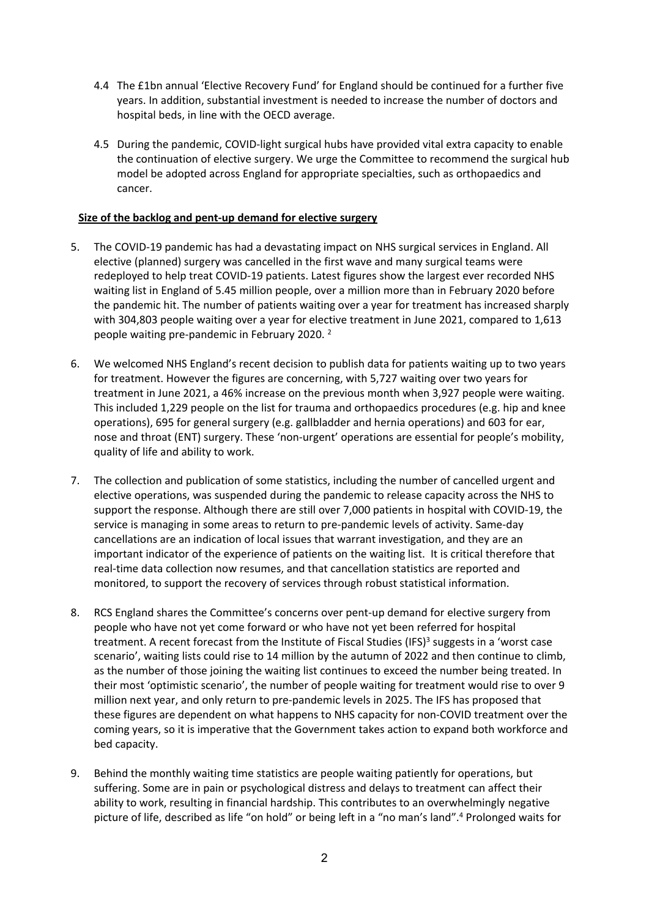- 4.4 The £1bn annual 'Elective Recovery Fund' for England should be continued for a further five years. In addition, substantial investment is needed to increase the number of doctors and hospital beds, in line with the OECD average.
- 4.5 During the pandemic, COVID-light surgical hubs have provided vital extra capacity to enable the continuation of elective surgery. We urge the Committee to recommend the surgical hub model be adopted across England for appropriate specialties, such as orthopaedics and cancer.

# **Size of the backlog and pent-up demand for elective surgery**

- 5. The COVID-19 pandemic has had a devastating impact on NHS surgical services in England. All elective (planned) surgery was cancelled in the first wave and many surgical teams were redeployed to help treat COVID-19 patients. Latest figures show the largest ever recorded NHS waiting list in England of 5.45 million people, over a million more than in February 2020 before the pandemic hit. The number of patients waiting over a year for treatment has increased sharply with 304,803 people waiting over a year for elective treatment in June 2021, compared to 1,613 people waiting pre-pandemic in February 2020. <sup>2</sup>
- 6. We welcomed NHS England's recent decision to publish data for patients waiting up to two years for treatment. However the figures are concerning, with 5,727 waiting over two years for treatment in June 2021, a 46% increase on the previous month when 3,927 people were waiting. This included 1,229 people on the list for trauma and orthopaedics procedures (e.g. hip and knee operations), 695 for general surgery (e.g. gallbladder and hernia operations) and 603 for ear, nose and throat (ENT) surgery. These 'non-urgent' operations are essential for people's mobility, quality of life and ability to work.
- 7. The collection and publication of some statistics, including the number of cancelled urgent and elective operations, was suspended during the pandemic to release capacity across the NHS to support the response. Although there are still over 7,000 patients in hospital with COVID-19, the service is managing in some areas to return to pre-pandemic levels of activity. Same-day cancellations are an indication of local issues that warrant investigation, and they are an important indicator of the experience of patients on the waiting list. It is critical therefore that real-time data collection now resumes, and that cancellation statistics are reported and monitored, to support the recovery of services through robust statistical information.
- 8. RCS England shares the Committee's concerns over pent-up demand for elective surgery from people who have not yet come forward or who have not yet been referred for hospital treatment. A recent forecast from the Institute of Fiscal Studies (IFS)<sup>3</sup> suggests in a 'worst case scenario', waiting lists could rise to 14 million by the autumn of 2022 and then continue to climb, as the number of those joining the waiting list continues to exceed the number being treated. In their most 'optimistic scenario', the number of people waiting for treatment would rise to over 9 million next year, and only return to pre-pandemic levels in 2025. The IFS has proposed that these figures are dependent on what happens to NHS capacity for non-COVID treatment over the coming years, so it is imperative that the Government takes action to expand both workforce and bed capacity.
- 9. Behind the monthly waiting time statistics are people waiting patiently for operations, but suffering. Some are in pain or psychological distress and delays to treatment can affect their ability to work, resulting in financial hardship. This contributes to an overwhelmingly negative picture of life, described as life "on hold" or being left in a "no man's land".<sup>4</sup> Prolonged waits for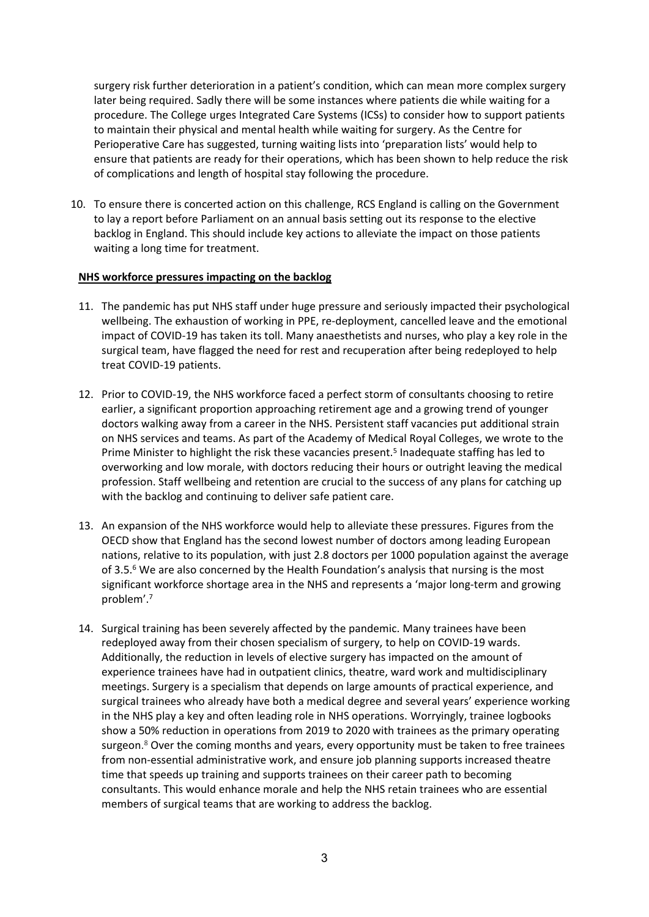surgery risk further deterioration in a patient's condition, which can mean more complex surgery later being required. Sadly there will be some instances where patients die while waiting for a procedure. The College urges Integrated Care Systems (ICSs) to consider how to support patients to maintain their physical and mental health while waiting for surgery. As the Centre for Perioperative Care has suggested, turning waiting lists into 'preparation lists' would help to ensure that patients are ready for their operations, which has been shown to help reduce the risk of complications and length of hospital stay following the procedure.

10. To ensure there is concerted action on this challenge, RCS England is calling on the Government to lay a report before Parliament on an annual basis setting out its response to the elective backlog in England. This should include key actions to alleviate the impact on those patients waiting a long time for treatment.

#### **NHS workforce pressures impacting on the backlog**

- 11. The pandemic has put NHS staff under huge pressure and seriously impacted their psychological wellbeing. The exhaustion of working in PPE, re-deployment, cancelled leave and the emotional impact of COVID-19 has taken its toll. Many anaesthetists and nurses, who play a key role in the surgical team, have flagged the need for rest and recuperation after being redeployed to help treat COVID-19 patients.
- 12. Prior to COVID-19, the NHS workforce faced a perfect storm of consultants choosing to retire earlier, a significant proportion approaching retirement age and a growing trend of younger doctors walking away from a career in the NHS. Persistent staff vacancies put additional strain on NHS services and teams. As part of the Academy of Medical Royal Colleges, we wrote to the Prime Minister to highlight the risk these vacancies present.<sup>5</sup> Inadequate staffing has led to overworking and low morale, with doctors reducing their hours or outright leaving the medical profession. Staff wellbeing and retention are crucial to the success of any plans for catching up with the backlog and continuing to deliver safe patient care.
- 13. An expansion of the NHS workforce would help to alleviate these pressures. Figures from the OECD show that England has the second lowest number of doctors among leading European nations, relative to its population, with just 2.8 doctors per 1000 population against the average of 3.5.<sup>6</sup> We are also concerned by the Health Foundation's analysis that nursing is the most significant workforce shortage area in the NHS and represents a 'major long-term and growing problem'.<sup>7</sup>
- 14. Surgical training has been severely affected by the pandemic. Many trainees have been redeployed away from their chosen specialism of surgery, to help on COVID-19 wards. Additionally, the reduction in levels of elective surgery has impacted on the amount of experience trainees have had in outpatient clinics, theatre, ward work and multidisciplinary meetings. Surgery is a specialism that depends on large amounts of practical experience, and surgical trainees who already have both a medical degree and several years' experience working in the NHS play a key and often leading role in NHS operations. Worryingly, trainee logbooks show a 50% reduction in operations from 2019 to 2020 with trainees as the primary operating surgeon. <sup>8</sup> Over the coming months and years, every opportunity must be taken to free trainees from non-essential administrative work, and ensure job planning supports increased theatre time that speeds up training and supports trainees on their career path to becoming consultants. This would enhance morale and help the NHS retain trainees who are essential members of surgical teams that are working to address the backlog.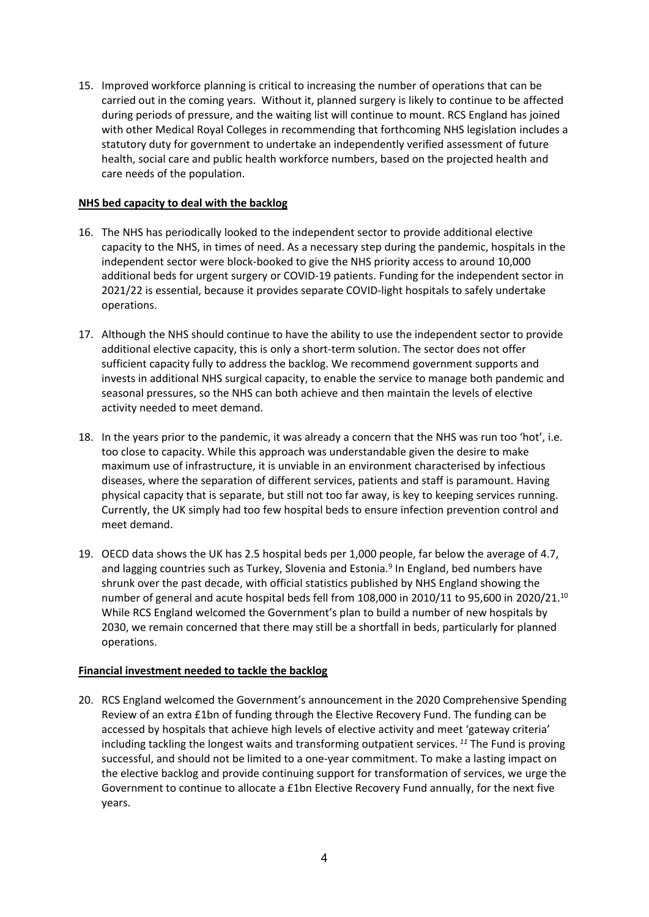15. Improved workforce planning is critical to increasing the number of operations that can be carried out in the coming years. Without it, planned surgery is likely to continue to be affected during periods of pressure, and the waiting list will continue to mount. RCS England has joined with other Medical Royal Colleges in recommending that forthcoming NHS legislation includes a statutory duty for government to undertake an independently verified assessment of future health, social care and public health workforce numbers, based on the projected health and care needs of the population.

## **NHS bed capacity to deal with the backlog**

- 16. The NHS has periodically looked to the independent sector to provide additional elective capacity to the NHS, in times of need. As a necessary step during the pandemic, hospitals in the independent sector were block-booked to give the NHS priority access to around 10,000 additional beds for urgent surgery or COVID-19 patients. Funding for the independent sector in 2021/22 is essential, because it provides separate COVID-light hospitals to safely undertake operations.
- 17. Although the NHS should continue to have the ability to use the independent sector to provide additional elective capacity, this is only a short-term solution. The sector does not offer sufficient capacity fully to address the backlog. We recommend government supports and invests in additional NHS surgical capacity, to enable the service to manage both pandemic and seasonal pressures, so the NHS can both achieve and then maintain the levels of elective activity needed to meet demand.
- 18. In the years prior to the pandemic, it was already a concern that the NHS was run too 'hot', i.e. too close to capacity. While this approach was understandable given the desire to make maximum use of infrastructure, it is unviable in an environment characterised by infectious diseases, where the separation of different services, patients and staff is paramount. Having physical capacity that is separate, but still not too far away, is key to keeping services running. Currently, the UK simply had too few hospital beds to ensure infection prevention control and meet demand.
- 19. OECD data shows the UK has 2.5 hospital beds per 1,000 people, far below the average of 4.7, and lagging countries such as Turkey, Slovenia and Estonia.<sup>9</sup> In England, bed numbers have shrunk over the past decade, with official statistics published by NHS England showing the number of general and acute hospital beds fell from 108,000 in 2010/11 to 95,600 in 2020/21.<sup>10</sup> While RCS England welcomed the Government's plan to build a number of new hospitals by 2030, we remain concerned that there may still be a shortfall in beds, particularly for planned operations.

# **Financial investment needed to tackle the backlog**

20. RCS England welcomed the Government's announcement in the 2020 Comprehensive Spending Review of an extra £1bn of funding through the Elective Recovery Fund. The funding can be accessed by hospitals that achieve high levels of elective activity and meet 'gateway criteria' including tackling the longest waits and transforming outpatient services. *<sup>11</sup>* The Fund is proving successful, and should not be limited to a one-year commitment. To make a lasting impact on the elective backlog and provide continuing support for transformation of services, we urge the Government to continue to allocate a £1bn Elective Recovery Fund annually, for the next five years.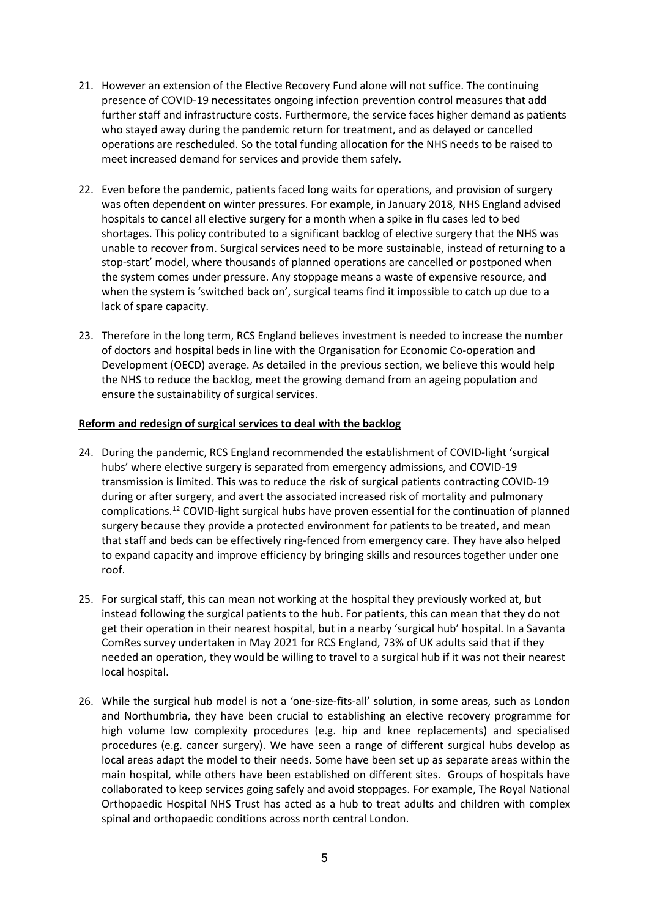- 21. However an extension of the Elective Recovery Fund alone will not suffice. The continuing presence of COVID-19 necessitates ongoing infection prevention control measures that add further staff and infrastructure costs. Furthermore, the service faces higher demand as patients who stayed away during the pandemic return for treatment, and as delayed or cancelled operations are rescheduled. So the total funding allocation for the NHS needs to be raised to meet increased demand for services and provide them safely.
- 22. Even before the pandemic, patients faced long waits for operations, and provision of surgery was often dependent on winter pressures. For example, in January 2018, NHS England advised hospitals to cancel all elective surgery for a month when a spike in flu cases led to bed shortages. This policy contributed to a significant backlog of elective surgery that the NHS was unable to recover from. Surgical services need to be more sustainable, instead of returning to a stop-start' model, where thousands of planned operations are cancelled or postponed when the system comes under pressure. Any stoppage means a waste of expensive resource, and when the system is 'switched back on', surgical teams find it impossible to catch up due to a lack of spare capacity.
- 23. Therefore in the long term, RCS England believes investment is needed to increase the number of doctors and hospital beds in line with the Organisation for Economic Co-operation and Development (OECD) average. As detailed in the previous section, we believe this would help the NHS to reduce the backlog, meet the growing demand from an ageing population and ensure the sustainability of surgical services.

## **Reform and redesign of surgical services to deal with the backlog**

- 24. During the pandemic, RCS England recommended the establishment of COVID-light 'surgical hubs' where elective surgery is separated from emergency admissions, and COVID-19 transmission is limited. This was to reduce the risk of surgical patients contracting COVID-19 during or after surgery, and avert the associated increased risk of mortality and pulmonary complications.<sup>12</sup> COVID-light surgical hubs have proven essential for the continuation of planned surgery because they provide a protected environment for patients to be treated, and mean that staff and beds can be effectively ring-fenced from emergency care. They have also helped to expand capacity and improve efficiency by bringing skills and resources together under one roof.
- 25. For surgical staff, this can mean not working at the hospital they previously worked at, but instead following the surgical patients to the hub. For patients, this can mean that they do not get their operation in their nearest hospital, but in a nearby 'surgical hub' hospital. In a Savanta ComRes survey undertaken in May 2021 for RCS England, 73% of UK adults said that if they needed an operation, they would be willing to travel to a surgical hub if it was not their nearest local hospital.
- 26. While the surgical hub model is not a 'one-size-fits-all' solution, in some areas, such as London and Northumbria, they have been crucial to establishing an elective recovery programme for high volume low complexity procedures (e.g. hip and knee replacements) and specialised procedures (e.g. cancer surgery). We have seen a range of different surgical hubs develop as local areas adapt the model to their needs. Some have been set up as separate areas within the main hospital, while others have been established on different sites. Groups of hospitals have collaborated to keep services going safely and avoid stoppages. For example, The Royal National Orthopaedic Hospital NHS Trust has acted as a hub to treat adults and children with complex spinal and orthopaedic conditions across north central London.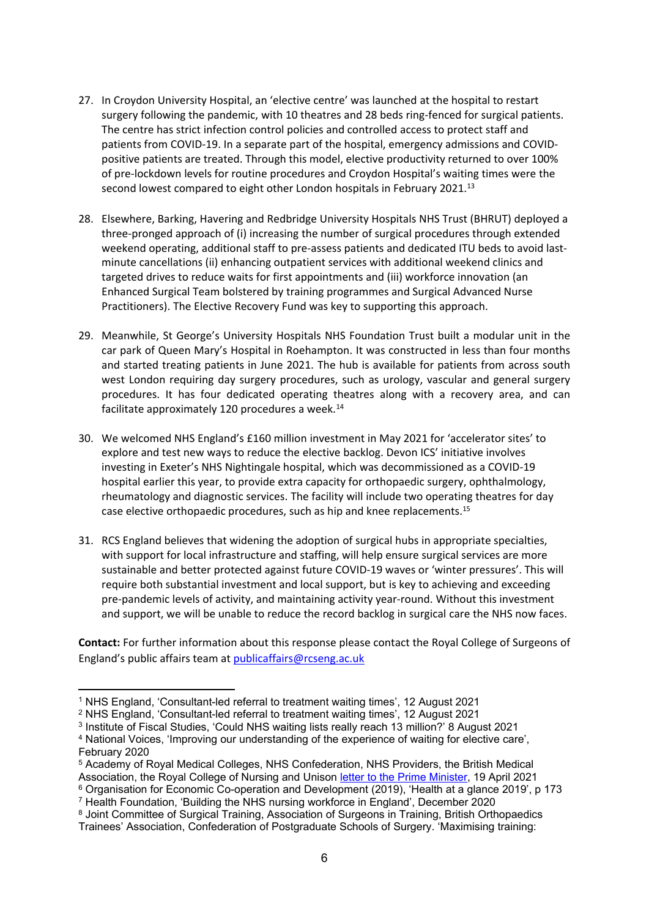- 27. In Croydon University Hospital, an 'elective centre' was launched at the hospital to restart surgery following the pandemic, with 10 theatres and 28 beds ring-fenced for surgical patients. The centre has strict infection control policies and controlled access to protect staff and patients from COVID-19. In a separate part of the hospital, emergency admissions and COVIDpositive patients are treated. Through this model, elective productivity returned to over 100% of pre-lockdown levels for routine procedures and Croydon Hospital's waiting times were the second lowest compared to eight other London hospitals in February 2021.<sup>13</sup>
- 28. Elsewhere, Barking, Havering and Redbridge University Hospitals NHS Trust (BHRUT) deployed a three-pronged approach of (i) increasing the number of surgical procedures through extended weekend operating, additional staff to pre-assess patients and dedicated ITU beds to avoid lastminute cancellations (ii) enhancing outpatient services with additional weekend clinics and targeted drives to reduce waits for first appointments and (iii) workforce innovation (an Enhanced Surgical Team bolstered by training programmes and Surgical Advanced Nurse Practitioners). The Elective Recovery Fund was key to supporting this approach.
- 29. Meanwhile, St George's University Hospitals NHS Foundation Trust built a modular unit in the car park of Queen Mary's Hospital in Roehampton. It was constructed in less than four months and started treating patients in June 2021. The hub is available for patients from across south west London requiring day surgery procedures, such as urology, vascular and general surgery procedures. It has four dedicated operating theatres along with a recovery area, and can facilitate approximately 120 procedures a week. $^{14}$
- 30. We welcomed NHS England's £160 million investment in May 2021 for 'accelerator sites' to explore and test new ways to reduce the elective backlog. Devon ICS' initiative involves investing in Exeter's NHS Nightingale hospital, which was decommissioned as a COVID-19 hospital earlier this year, to provide extra capacity for orthopaedic surgery, ophthalmology, rheumatology and diagnostic services. The facility will include two operating theatres for day case elective orthopaedic procedures, such as hip and knee replacements.<sup>15</sup>
- 31. RCS England believes that widening the adoption of surgical hubs in appropriate specialties, with support for local infrastructure and staffing, will help ensure surgical services are more sustainable and better protected against future COVID-19 waves or 'winter pressures'. This will require both substantial investment and local support, but is key to achieving and exceeding pre-pandemic levels of activity, and maintaining activity year-round. Without this investment and support, we will be unable to reduce the record backlog in surgical care the NHS now faces.

**Contact:** For further information about this response please contact the Royal College of Surgeons of England's public affairs team at [publicaffairs@rcseng.ac.uk](mailto:publicaffairs@rcseng.ac.uk)

<sup>1</sup> NHS England, 'Consultant-led referral to treatment waiting times', 12 August 2021

<sup>2</sup> NHS England, 'Consultant-led referral to treatment waiting times', 12 August 2021

<sup>3</sup> Institute of Fiscal Studies, 'Could NHS waiting lists really reach 13 million?' 8 August 2021

<sup>4</sup> National Voices, 'Improving our understanding of the experience of waiting for elective care', February 2020

<sup>5</sup> Academy of Royal Medical Colleges, NHS Confederation, NHS Providers, the British Medical Association, the Royal College of Nursing and Unison [letter](https://i.emlfiles4.com/cmpdoc/7/9/6/1/1/3/files/13830_letter-to-the-prime-minister---nhs-workforce.pdf?utm_campaign=342828_PRESS%20RELEASE%3A%20Urgent%20action%20needed%20to%20address%20chronic%20undersupply%20of%20NHS%20staff&utm_medium=email&utm_source=NHS%20Confederation&dm_i=6OI9,7CJ0,2M7O7O,UMPB,1) [to](https://i.emlfiles4.com/cmpdoc/7/9/6/1/1/3/files/13830_letter-to-the-prime-minister---nhs-workforce.pdf?utm_campaign=342828_PRESS%20RELEASE%3A%20Urgent%20action%20needed%20to%20address%20chronic%20undersupply%20of%20NHS%20staff&utm_medium=email&utm_source=NHS%20Confederation&dm_i=6OI9,7CJ0,2M7O7O,UMPB,1) [the](https://i.emlfiles4.com/cmpdoc/7/9/6/1/1/3/files/13830_letter-to-the-prime-minister---nhs-workforce.pdf?utm_campaign=342828_PRESS%20RELEASE%3A%20Urgent%20action%20needed%20to%20address%20chronic%20undersupply%20of%20NHS%20staff&utm_medium=email&utm_source=NHS%20Confederation&dm_i=6OI9,7CJ0,2M7O7O,UMPB,1) [Prime](https://i.emlfiles4.com/cmpdoc/7/9/6/1/1/3/files/13830_letter-to-the-prime-minister---nhs-workforce.pdf?utm_campaign=342828_PRESS%20RELEASE%3A%20Urgent%20action%20needed%20to%20address%20chronic%20undersupply%20of%20NHS%20staff&utm_medium=email&utm_source=NHS%20Confederation&dm_i=6OI9,7CJ0,2M7O7O,UMPB,1) [Minister,](https://i.emlfiles4.com/cmpdoc/7/9/6/1/1/3/files/13830_letter-to-the-prime-minister---nhs-workforce.pdf?utm_campaign=342828_PRESS%20RELEASE%3A%20Urgent%20action%20needed%20to%20address%20chronic%20undersupply%20of%20NHS%20staff&utm_medium=email&utm_source=NHS%20Confederation&dm_i=6OI9,7CJ0,2M7O7O,UMPB,1) 19 April 2021 <sup>6</sup> Organisation for Economic Co-operation and Development (2019), 'Health at a glance 2019', p 173

<sup>7</sup> Health Foundation, 'Building the NHS nursing workforce in England', December 2020

<sup>8</sup> Joint Committee of Surgical Training, Association of Surgeons in Training, British Orthopaedics Trainees' Association, Confederation of Postgraduate Schools of Surgery. 'Maximising training: